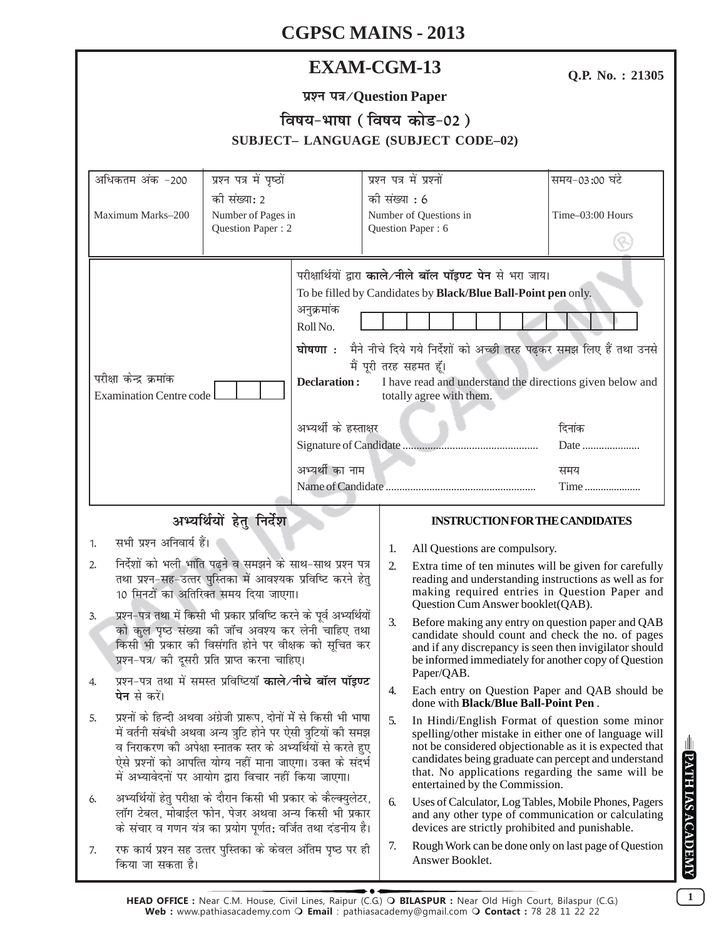# **EXAM-CGM-13**

Q.P. No.: 21305

| प्रश्न पत्र/Question Paper                 |
|--------------------------------------------|
| विषय-भाषा (विषय कोड-02)                    |
| <b>SUBJECT- LANGUAGE (SUBJECT CODE-02)</b> |

|                                                                                                                                                                                                                                                                                                                                                                                                                                   |                                                                                    |                                          | SUDJECI – LANGUAGE (SUDJECI CODE–02)                                                                                                                                                                                                                                                                                   |
|-----------------------------------------------------------------------------------------------------------------------------------------------------------------------------------------------------------------------------------------------------------------------------------------------------------------------------------------------------------------------------------------------------------------------------------|------------------------------------------------------------------------------------|------------------------------------------|------------------------------------------------------------------------------------------------------------------------------------------------------------------------------------------------------------------------------------------------------------------------------------------------------------------------|
| अधिकतम अंक -200<br>Maximum Marks-200                                                                                                                                                                                                                                                                                                                                                                                              | प्रश्न पत्र में पृष्ठों<br>की संख्या: 2<br>Number of Pages in<br>Question Paper: 2 |                                          | प्रश्न पत्र में प्रश्नों<br>समय-03:00 घंटे<br>को संख्या : 6<br>Time-03:00 Hours<br>Number of Questions in<br>Question Paper: 6                                                                                                                                                                                         |
| परीक्षा केन्द्र क्रमांक<br><b>Examination Centre code</b>                                                                                                                                                                                                                                                                                                                                                                         | अनुक्रमांक<br>Roll No.<br>घोषणा $:$                                                | <b>Declaration:</b>                      | परीक्षार्थियों द्वारा काले/नीले बॉल पॉइण्ट पेन से भरा जाय।<br>To be filled by Candidates by Black/Blue Ball-Point pen only.<br>मैने नीचे दिये गये निर्देशों को अच्छी तरह पढ़कर समझ लिए हैं तथा उनसे<br>मैं पूरी तरह सहमत हूँ।<br>I have read and understand the directions given below and<br>totally agree with them. |
|                                                                                                                                                                                                                                                                                                                                                                                                                                   |                                                                                    | अभ्यर्थी के हस्ताक्षर<br>अभ्यर्थी का नाम | दिनांक<br>Date<br>समय                                                                                                                                                                                                                                                                                                  |
|                                                                                                                                                                                                                                                                                                                                                                                                                                   |                                                                                    |                                          | Time                                                                                                                                                                                                                                                                                                                   |
| सभी प्रश्न अनिवार्य हैं।                                                                                                                                                                                                                                                                                                                                                                                                          | अभ्यर्थियों हेतु निर्देश                                                           |                                          | <b>INSTRUCTION FOR THE CANDIDATES</b>                                                                                                                                                                                                                                                                                  |
| 1.<br>निर्देशों को भली भांति पढ़ने व समझने के साथ-साथ प्रश्न पत्र<br>2.<br>तथा प्रश्न-सह-उत्तर पुस्तिका में आवश्यक प्रविष्टि करने हेतु<br>10 मिनटों का अतिरिक्त समय दिया जाएगा।<br>प्रश्न-पत्र तथा में किसी भी प्रकार प्रविष्टि करने के पूर्व अभ्यर्थियों<br>3.<br>को कुल पृष्ठ संख्या की जाँच अवश्य कर लेनी चाहिए तथा<br>किसी भी प्रकार की विसंगति होने पर वीक्षक को सूचित कर<br>प्रश्न-पत्र/ को दूसरी प्रति प्राप्त करना चाहिए। |                                                                                    |                                          | 1.<br>All Questions are compulsory.<br>2.<br>Extra time of ten minutes will be given for carefully<br>reading and understanding instructions as well as for<br>making required entries in Question Paper and<br>Question Cum Answer booklet(QAB).                                                                      |
|                                                                                                                                                                                                                                                                                                                                                                                                                                   |                                                                                    |                                          | 3.<br>Before making any entry on question paper and QAB<br>candidate should count and check the no. of pages<br>and if any discrepancy is seen then invigilator should<br>be informed immediately for another copy of Question                                                                                         |
| प्रश्न-पत्र तथा में समस्त प्रविष्टियाँ <b>काले/नीचे बॉल पॉइण्ट</b><br>4.<br><b>पेन</b> से करें।                                                                                                                                                                                                                                                                                                                                   |                                                                                    |                                          | Paper/QAB.<br>4.<br>Each entry on Question Paper and QAB should be<br>done with <b>Black/Blue Ball-Point Pen</b> .                                                                                                                                                                                                     |
| प्रश्नों के हिन्दी अथवा अंग्रेजी प्रारूप, दोनों में से किसी भी भाषा<br>5.<br>में वर्तनी संबंधी अथवा अन्य त्रुटि होने पर ऐसी त्रुटियों की समझ<br>व निराकरण की अपेक्षा स्नातक स्तर के अभ्यर्थियों से करते हुए<br>ऐसे प्रश्नों को आपत्ति योग्य नहीं माना जाएगा। उक्त के संदर्भ<br>में अभ्यावेदनों पर आयोग द्वारा विचार नहीं किया जाएगा।                                                                                              |                                                                                    |                                          | 5.<br>In Hindi/English Format of question some minor<br>spelling/other mistake in either one of language will<br>not be considered objectionable as it is expected that<br>candidates being graduate can percept and understand<br>that. No applications regarding the same will be<br>entertained by the Commission.  |
| अभ्यर्थियों हेतु परीक्षा के दौरान किसी भी प्रकार के कैल्क्युलेटर,<br>6.<br>लॉग टेबल, मोबाईल फोन, पेजर अथवा अन्य किसी भी प्रकार<br>के संचार व गणन यंत्र का प्रयोग पूर्णत: वर्जित तथा दंडनीय है।                                                                                                                                                                                                                                    |                                                                                    |                                          | 6.<br>Uses of Calculator, Log Tables, Mobile Phones, Pagers<br>and any other type of communication or calculating<br>devices are strictly prohibited and punishable.                                                                                                                                                   |
| रफ कार्य प्रश्न सह उत्तर पुस्तिका के केवल अंतिम पृष्ठ पर ही<br>7.<br>किया जा सकता है।                                                                                                                                                                                                                                                                                                                                             |                                                                                    |                                          | 7.<br>Rough Work can be done only on last page of Question<br>Answer Booklet.                                                                                                                                                                                                                                          |

 $\boxed{1}$